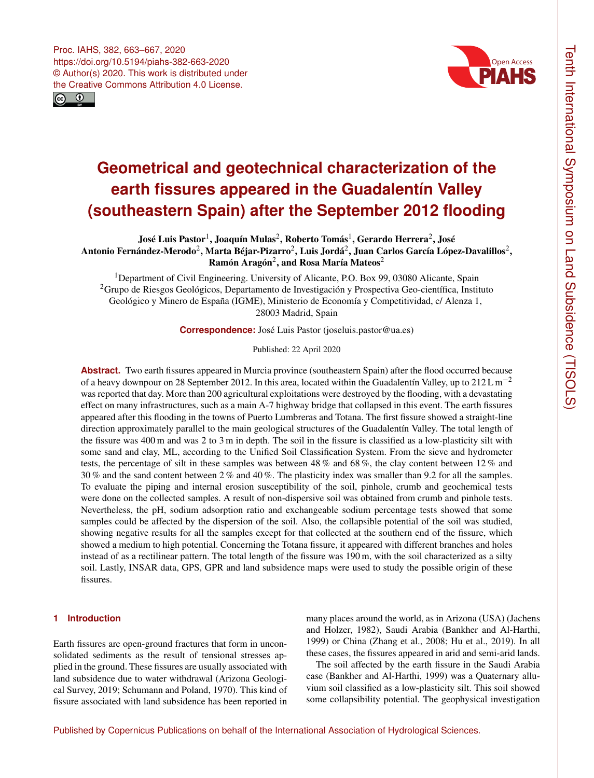



# **Geometrical and geotechnical characterization of the earth fissures appeared in the Guadalentín Valley (southeastern Spain) after the September 2012 flooding**

José Luis Pastor $^1$  $^1$ , Joaquín Mulas $^2$  $^2$ , Roberto Tomás $^1$ , Gerardo Herrera $^2$ , José Antonio Fernández-Merodo $^2$  $^2$ , Marta Béjar-Pizarro $^2$ , Luis Jordá $^2$ , Juan Carlos García López-Davalillos $^2,$ Ramón Aragón<sup>[2](#page-0-0)</sup>, and Rosa María Mateos<sup>2</sup>

<sup>1</sup>Department of Civil Engineering. University of Alicante, P.O. Box 99, 03080 Alicante, Spain <sup>2</sup>Grupo de Riesgos Geológicos, Departamento de Investigación y Prospectiva Geo-científica, Instituto Geológico y Minero de España (IGME), Ministerio de Economía y Competitividad, c/ Alenza 1, 28003 Madrid, Spain

**Correspondence:** José Luis Pastor (joseluis.pastor@ua.es)

Published: 22 April 2020

**Abstract.** Two earth fissures appeared in Murcia province (southeastern Spain) after the flood occurred because of a heavy downpour on 28 September 2012. In this area, located within the Guadalentín Valley, up to 212 L m<sup>-2</sup> was reported that day. More than 200 agricultural exploitations were destroyed by the flooding, with a devastating effect on many infrastructures, such as a main A-7 highway bridge that collapsed in this event. The earth fissures appeared after this flooding in the towns of Puerto Lumbreras and Totana. The first fissure showed a straight-line direction approximately parallel to the main geological structures of the Guadalentín Valley. The total length of the fissure was 400 m and was 2 to 3 m in depth. The soil in the fissure is classified as a low-plasticity silt with some sand and clay, ML, according to the Unified Soil Classification System. From the sieve and hydrometer tests, the percentage of silt in these samples was between 48 % and 68 %, the clay content between 12 % and 30 % and the sand content between 2 % and 40 %. The plasticity index was smaller than 9.2 for all the samples. To evaluate the piping and internal erosion susceptibility of the soil, pinhole, crumb and geochemical tests were done on the collected samples. A result of non-dispersive soil was obtained from crumb and pinhole tests. Nevertheless, the pH, sodium adsorption ratio and exchangeable sodium percentage tests showed that some samples could be affected by the dispersion of the soil. Also, the collapsible potential of the soil was studied, showing negative results for all the samples except for that collected at the southern end of the fissure, which showed a medium to high potential. Concerning the Totana fissure, it appeared with different branches and holes instead of as a rectilinear pattern. The total length of the fissure was 190 m, with the soil characterized as a silty soil. Lastly, INSAR data, GPS, GPR and land subsidence maps were used to study the possible origin of these fissures.

## <span id="page-0-0"></span>**1 Introduction**

Earth fissures are open-ground fractures that form in unconsolidated sediments as the result of tensional stresses applied in the ground. These fissures are usually associated with land subsidence due to water withdrawal (Arizona Geological Survey, 2019; Schumann and Poland, 1970). This kind of fissure associated with land subsidence has been reported in

many places around the world, as in Arizona (USA) (Jachens and Holzer, 1982), Saudi Arabia (Bankher and Al-Harthi, 1999) or China (Zhang et al., 2008; Hu et al., 2019). In all these cases, the fissures appeared in arid and semi-arid lands.

The soil affected by the earth fissure in the Saudi Arabia case (Bankher and Al-Harthi, 1999) was a Quaternary alluvium soil classified as a low-plasticity silt. This soil showed some collapsibility potential. The geophysical investigation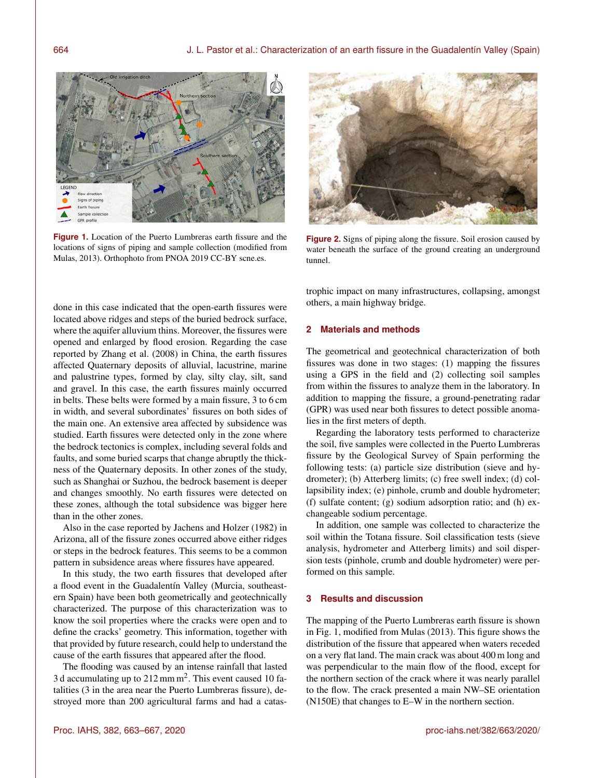

**Figure 1.** Location of the Puerto Lumbreras earth fissure and the locations of signs of piping and sample collection (modified from Mulas, 2013). Orthophoto from PNOA 2019 CC-BY scne.es.



**Figure 2.** Signs of piping along the fissure. Soil erosion caused by water beneath the surface of the ground creating an underground tunnel.

done in this case indicated that the open-earth fissures were located above ridges and steps of the buried bedrock surface, where the aquifer alluvium thins. Moreover, the fissures were opened and enlarged by flood erosion. Regarding the case reported by Zhang et al. (2008) in China, the earth fissures affected Quaternary deposits of alluvial, lacustrine, marine and palustrine types, formed by clay, silty clay, silt, sand and gravel. In this case, the earth fissures mainly occurred in belts. These belts were formed by a main fissure, 3 to 6 cm in width, and several subordinates' fissures on both sides of the main one. An extensive area affected by subsidence was studied. Earth fissures were detected only in the zone where the bedrock tectonics is complex, including several folds and faults, and some buried scarps that change abruptly the thickness of the Quaternary deposits. In other zones of the study, such as Shanghai or Suzhou, the bedrock basement is deeper and changes smoothly. No earth fissures were detected on these zones, although the total subsidence was bigger here than in the other zones.

Also in the case reported by Jachens and Holzer (1982) in Arizona, all of the fissure zones occurred above either ridges or steps in the bedrock features. This seems to be a common pattern in subsidence areas where fissures have appeared.

In this study, the two earth fissures that developed after a flood event in the Guadalentín Valley (Murcia, southeastern Spain) have been both geometrically and geotechnically characterized. The purpose of this characterization was to know the soil properties where the cracks were open and to define the cracks' geometry. This information, together with that provided by future research, could help to understand the cause of the earth fissures that appeared after the flood.

The flooding was caused by an intense rainfall that lasted 3 d accumulating up to  $212$  mm m<sup>2</sup>. This event caused 10 fatalities (3 in the area near the Puerto Lumbreras fissure), destroyed more than 200 agricultural farms and had a catastrophic impact on many infrastructures, collapsing, amongst others, a main highway bridge.

### **2 Materials and methods**

The geometrical and geotechnical characterization of both fissures was done in two stages: (1) mapping the fissures using a GPS in the field and (2) collecting soil samples from within the fissures to analyze them in the laboratory. In addition to mapping the fissure, a ground-penetrating radar (GPR) was used near both fissures to detect possible anomalies in the first meters of depth.

Regarding the laboratory tests performed to characterize the soil, five samples were collected in the Puerto Lumbreras fissure by the Geological Survey of Spain performing the following tests: (a) particle size distribution (sieve and hydrometer); (b) Atterberg limits; (c) free swell index; (d) collapsibility index; (e) pinhole, crumb and double hydrometer; (f) sulfate content; (g) sodium adsorption ratio; and (h) exchangeable sodium percentage.

In addition, one sample was collected to characterize the soil within the Totana fissure. Soil classification tests (sieve analysis, hydrometer and Atterberg limits) and soil dispersion tests (pinhole, crumb and double hydrometer) were performed on this sample.

#### **3 Results and discussion**

The mapping of the Puerto Lumbreras earth fissure is shown in Fig. 1, modified from Mulas (2013). This figure shows the distribution of the fissure that appeared when waters receded on a very flat land. The main crack was about 400 m long and was perpendicular to the main flow of the flood, except for the northern section of the crack where it was nearly parallel to the flow. The crack presented a main NW–SE orientation (N150E) that changes to E–W in the northern section.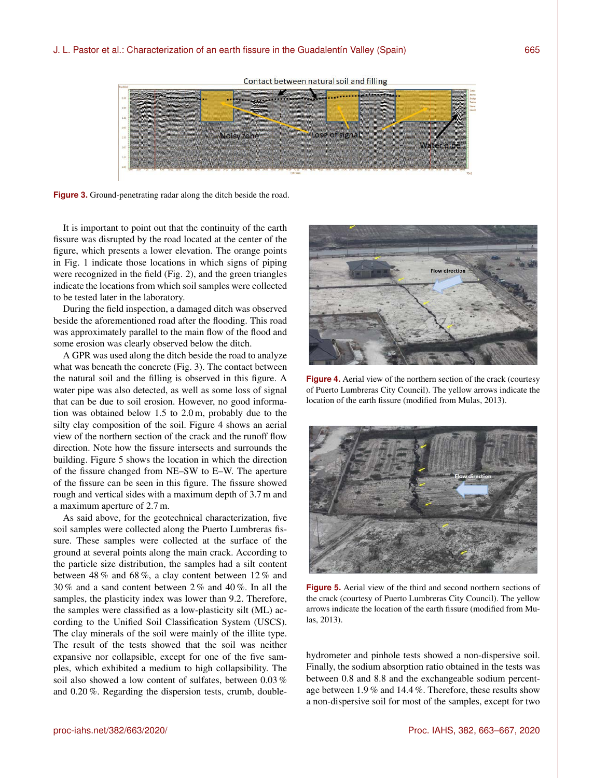Contact between natural soil and filling



**Figure 3.** Ground-penetrating radar along the ditch beside the road.

It is important to point out that the continuity of the earth fissure was disrupted by the road located at the center of the figure, which presents a lower elevation. The orange points in Fig. 1 indicate those locations in which signs of piping were recognized in the field (Fig. 2), and the green triangles indicate the locations from which soil samples were collected to be tested later in the laboratory.

During the field inspection, a damaged ditch was observed beside the aforementioned road after the flooding. This road was approximately parallel to the main flow of the flood and some erosion was clearly observed below the ditch.

A GPR was used along the ditch beside the road to analyze what was beneath the concrete (Fig. 3). The contact between the natural soil and the filling is observed in this figure. A water pipe was also detected, as well as some loss of signal that can be due to soil erosion. However, no good information was obtained below 1.5 to 2.0 m, probably due to the silty clay composition of the soil. Figure 4 shows an aerial view of the northern section of the crack and the runoff flow direction. Note how the fissure intersects and surrounds the building. Figure 5 shows the location in which the direction of the fissure changed from NE–SW to E–W. The aperture of the fissure can be seen in this figure. The fissure showed rough and vertical sides with a maximum depth of 3.7 m and a maximum aperture of 2.7 m.

As said above, for the geotechnical characterization, five soil samples were collected along the Puerto Lumbreras fissure. These samples were collected at the surface of the ground at several points along the main crack. According to the particle size distribution, the samples had a silt content between 48 % and 68 %, a clay content between 12 % and 30 % and a sand content between 2 % and 40 %. In all the samples, the plasticity index was lower than 9.2. Therefore, the samples were classified as a low-plasticity silt (ML) according to the Unified Soil Classification System (USCS). The clay minerals of the soil were mainly of the illite type. The result of the tests showed that the soil was neither expansive nor collapsible, except for one of the five samples, which exhibited a medium to high collapsibility. The soil also showed a low content of sulfates, between 0.03 % and 0.20 %. Regarding the dispersion tests, crumb, double-



**Figure 4.** Aerial view of the northern section of the crack (courtesy of Puerto Lumbreras City Council). The yellow arrows indicate the location of the earth fissure (modified from Mulas, 2013).



**Figure 5.** Aerial view of the third and second northern sections of the crack (courtesy of Puerto Lumbreras City Council). The yellow arrows indicate the location of the earth fissure (modified from Mulas, 2013).

hydrometer and pinhole tests showed a non-dispersive soil. Finally, the sodium absorption ratio obtained in the tests was between 0.8 and 8.8 and the exchangeable sodium percentage between 1.9 % and 14.4 %. Therefore, these results show a non-dispersive soil for most of the samples, except for two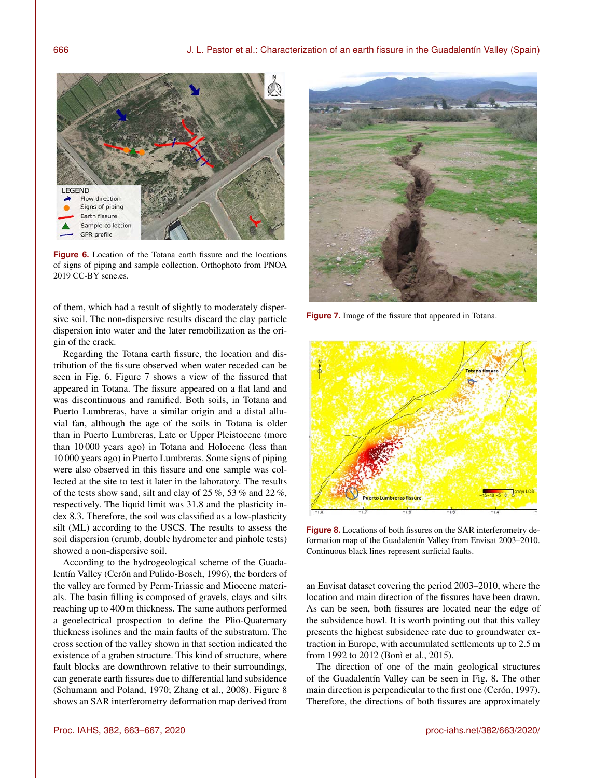

**Figure 6.** Location of the Totana earth fissure and the locations of signs of piping and sample collection. Orthophoto from PNOA 2019 CC-BY scne.es.

of them, which had a result of slightly to moderately dispersive soil. The non-dispersive results discard the clay particle dispersion into water and the later remobilization as the origin of the crack.

Regarding the Totana earth fissure, the location and distribution of the fissure observed when water receded can be seen in Fig. 6. Figure 7 shows a view of the fissured that appeared in Totana. The fissure appeared on a flat land and was discontinuous and ramified. Both soils, in Totana and Puerto Lumbreras, have a similar origin and a distal alluvial fan, although the age of the soils in Totana is older than in Puerto Lumbreras, Late or Upper Pleistocene (more than 10 000 years ago) in Totana and Holocene (less than 10 000 years ago) in Puerto Lumbreras. Some signs of piping were also observed in this fissure and one sample was collected at the site to test it later in the laboratory. The results of the tests show sand, silt and clay of 25 %, 53 % and 22 %, respectively. The liquid limit was 31.8 and the plasticity index 8.3. Therefore, the soil was classified as a low-plasticity silt (ML) according to the USCS. The results to assess the soil dispersion (crumb, double hydrometer and pinhole tests) showed a non-dispersive soil.

According to the hydrogeological scheme of the Guadalentín Valley (Cerón and Pulido-Bosch, 1996), the borders of the valley are formed by Perm-Triassic and Miocene materials. The basin filling is composed of gravels, clays and silts reaching up to 400 m thickness. The same authors performed a geoelectrical prospection to define the Plio-Quaternary thickness isolines and the main faults of the substratum. The cross section of the valley shown in that section indicated the existence of a graben structure. This kind of structure, where fault blocks are downthrown relative to their surroundings, can generate earth fissures due to differential land subsidence (Schumann and Poland, 1970; Zhang et al., 2008). Figure 8 shows an SAR interferometry deformation map derived from



**Figure 7.** Image of the fissure that appeared in Totana.



**Figure 8.** Locations of both fissures on the SAR interferometry deformation map of the Guadalentín Valley from Envisat 2003–2010. Continuous black lines represent surficial faults.

an Envisat dataset covering the period 2003–2010, where the location and main direction of the fissures have been drawn. As can be seen, both fissures are located near the edge of the subsidence bowl. It is worth pointing out that this valley presents the highest subsidence rate due to groundwater extraction in Europe, with accumulated settlements up to 2.5 m from 1992 to 2012 (Bonì et al., 2015).

The direction of one of the main geological structures of the Guadalentín Valley can be seen in Fig. 8. The other main direction is perpendicular to the first one (Cerón, 1997). Therefore, the directions of both fissures are approximately